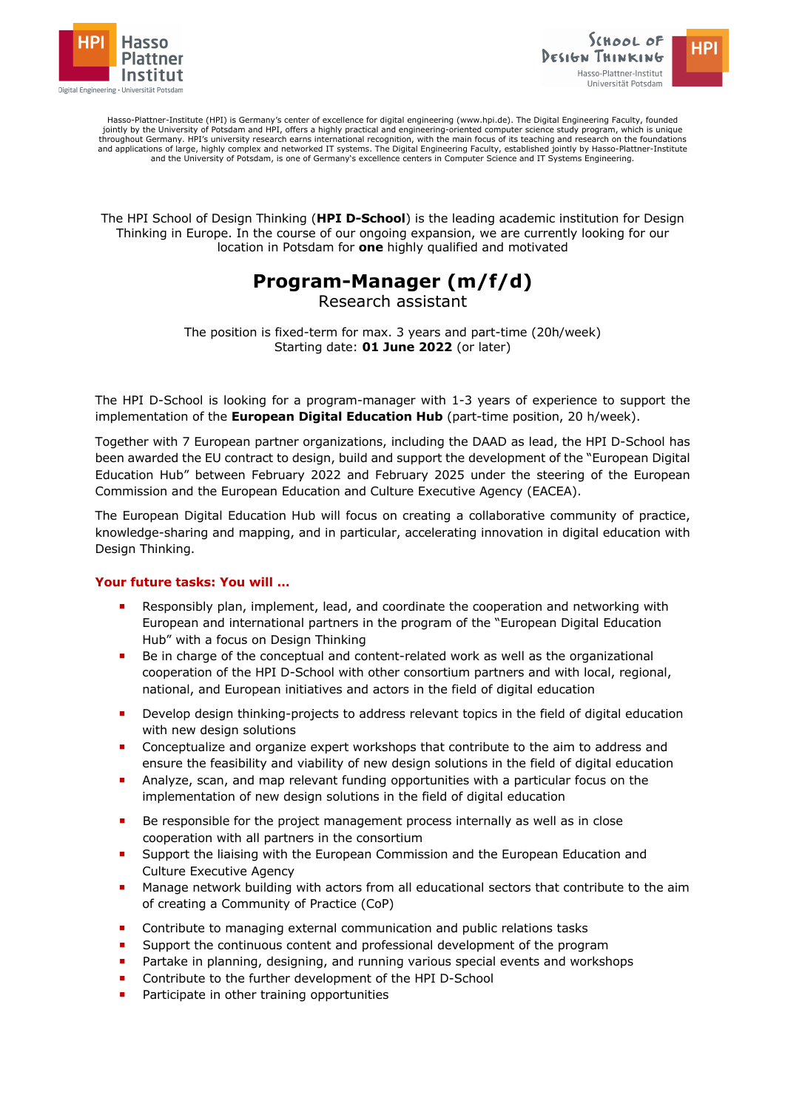



Hasso-Plattner-Institute (HPI) is Germany's center of excellence for digital engineering (www.hpi.de). The Digital Engineering Faculty, founded<br>jointly by the University of Potsdam and HPI, offers a highly practical and en throughout Germany. HPI's university research earns international recognition, with the main focus of its teaching and research on the foundations and applications of large, highly complex and networked IT systems. The Digital Engineering Faculty, established jointly by Hasso-Plattner-Institute<br>and the University of Potsdam, is one of Germany's excellence centers in

The HPI School of Design Thinking (**HPI D-School**) is the leading academic institution for Design Thinking in Europe. In the course of our ongoing expansion, we are currently looking for our location in Potsdam for **one** highly qualified and motivated

## **Program-Manager (m/f/d)**

Research assistant

The position is fixed-term for max. 3 years and part-time (20h/week) Starting date: **01 June 2022** (or later)

The HPI D-School is looking for a program-manager with 1-3 years of experience to support the implementation of the **European Digital Education Hub** (part-time position, 20 h/week).

Together with 7 European partner organizations, including the DAAD as lead, the HPI D-School has been awarded the EU contract to design, build and support the development of the "European Digital Education Hub" between February 2022 and February 2025 under the steering of the European Commission and the European Education and Culture Executive Agency (EACEA).

The European Digital Education Hub will focus on creating a collaborative community of practice, knowledge-sharing and mapping, and in particular, accelerating innovation in digital education with Design Thinking.

## **Your future tasks: You will …**

- Responsibly plan, implement, lead, and coordinate the cooperation and networking with European and international partners in the program of the "European Digital Education Hub" with a focus on Design Thinking
- ¡ Be in charge of the conceptual and content-related work as well as the organizational cooperation of the HPI D-School with other consortium partners and with local, regional, national, and European initiatives and actors in the field of digital education
- **•** Develop design thinking-projects to address relevant topics in the field of digital education with new design solutions
- ¡ Conceptualize and organize expert workshops that contribute to the aim to address and ensure the feasibility and viability of new design solutions in the field of digital education
- ¡ Analyze, scan, and map relevant funding opportunities with a particular focus on the implementation of new design solutions in the field of digital education
- Be responsible for the project management process internally as well as in close cooperation with all partners in the consortium
- Support the liaising with the European Commission and the European Education and Culture Executive Agency
- **•** Manage network building with actors from all educational sectors that contribute to the aim of creating a Community of Practice (CoP)
- **EXECONTERGIVE CONTEINT** Contribute to managing external communication and public relations tasks
- Support the continuous content and professional development of the program
- Partake in planning, designing, and running various special events and workshops
- Contribute to the further development of the HPI D-School
- Participate in other training opportunities